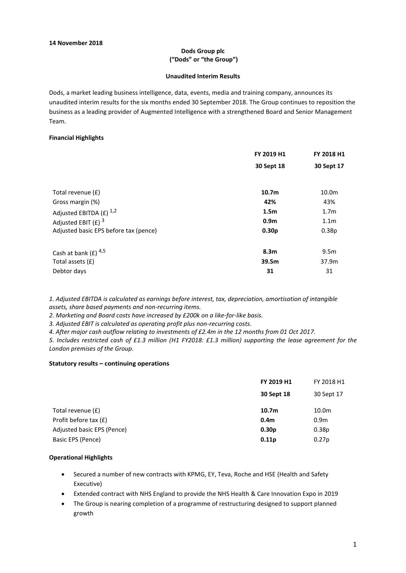### **Dods Group plc ("Dods" or "the Group")**

#### **Unaudited Interim Results**

Dods, a market leading business intelligence, data, events, media and training company, announces its unaudited interim results for the six months ended 30 September 2018. The Group continues to reposition the business as a leading provider of Augmented Intelligence with a strengthened Board and Senior Management Team.

#### **Financial Highlights**

| FY 2019 H1        | FY 2018 H1        |
|-------------------|-------------------|
| 30 Sept 18        | 30 Sept 17        |
| 10.7 <sub>m</sub> | 10.0m             |
| 42%               | 43%               |
| 1.5 <sub>m</sub>  | 1.7 <sub>m</sub>  |
| 0.9 <sub>m</sub>  | 1.1 <sub>m</sub>  |
| 0.30 <sub>p</sub> | 0.38 <sub>p</sub> |
| 8.3 <sub>m</sub>  | 9.5 <sub>m</sub>  |
| 39.5m             | 37.9m             |
| 31                | 31                |
|                   |                   |

*1. Adjusted EBITDA is calculated as earnings before interest, tax, depreciation, amortisation of intangible assets, share based payments and non-recurring items.*

*2. Marketing and Board costs have increased by £200k on a like-for-like basis.*

*3. Adjusted EBIT is calculated as operating profit plus non-recurring costs.*

*4. After major cash outflow relating to investments of £2.4m in the 12 months from 01 Oct 2017.*

*5. Includes restricted cash of £1.3 million (H1 FY2018: £1.3 million) supporting the lease agreement for the London premises of the Group.*

#### **Statutory results – continuing operations**

|                            | FY 2019 H1        | FY 2018 H1        |
|----------------------------|-------------------|-------------------|
|                            | 30 Sept 18        | 30 Sept 17        |
| Total revenue (£)          | 10.7 <sub>m</sub> | 10.0m             |
| Profit before tax (£)      | 0.4 <sub>m</sub>  | 0.9 <sub>m</sub>  |
| Adjusted basic EPS (Pence) | 0.30 <sub>p</sub> | 0.38 <sub>p</sub> |
| Basic EPS (Pence)          | 0.11 <sub>p</sub> | 0.27p             |
|                            |                   |                   |

### **Operational Highlights**

- Secured a number of new contracts with KPMG, EY, Teva, Roche and HSE (Health and Safety Executive)
- Extended contract with NHS England to provide the NHS Health & Care Innovation Expo in 2019
- The Group is nearing completion of a programme of restructuring designed to support planned growth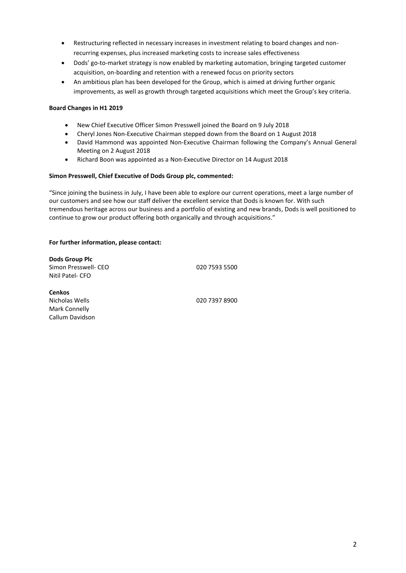- Restructuring reflected in necessary increases in investment relating to board changes and nonrecurring expenses, plus increased marketing costs to increase sales effectiveness
- Dods' go-to-market strategy is now enabled by marketing automation, bringing targeted customer acquisition, on-boarding and retention with a renewed focus on priority sectors
- An ambitious plan has been developed for the Group, which is aimed at driving further organic improvements, as well as growth through targeted acquisitions which meet the Group's key criteria.

### **Board Changes in H1 2019**

- New Chief Executive Officer Simon Presswell joined the Board on 9 July 2018
- Cheryl Jones Non-Executive Chairman stepped down from the Board on 1 August 2018
- David Hammond was appointed Non-Executive Chairman following the Company's Annual General Meeting on 2 August 2018
- Richard Boon was appointed as a Non-Executive Director on 14 August 2018

### **Simon Presswell, Chief Executive of Dods Group plc, commented:**

"Since joining the business in July, I have been able to explore our current operations, meet a large number of our customers and see how our staff deliver the excellent service that Dods is known for. With such tremendous heritage across our business and a portfolio of existing and new brands, Dods is well positioned to continue to grow our product offering both organically and through acquisitions."

### **For further information, please contact:**

**Dods Group Plc** Simon Presswell- CEO 020 7593 5500 Nitil Patel- CFO

**Cenkos**  Mark Connelly Callum Davidson

Nicholas Wells 020 7397 8900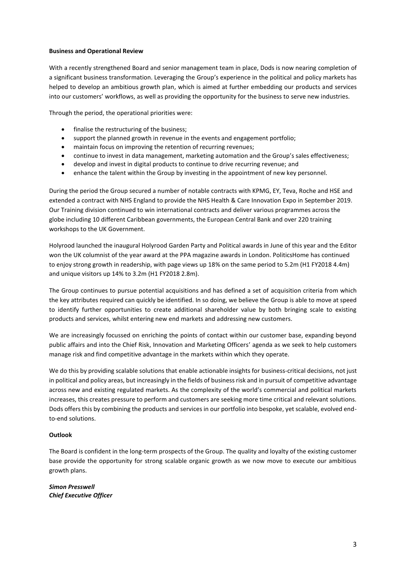### **Business and Operational Review**

With a recently strengthened Board and senior management team in place, Dods is now nearing completion of a significant business transformation. Leveraging the Group's experience in the political and policy markets has helped to develop an ambitious growth plan, which is aimed at further embedding our products and services into our customers' workflows, as well as providing the opportunity for the business to serve new industries.

Through the period, the operational priorities were:

- finalise the restructuring of the business;
- support the planned growth in revenue in the events and engagement portfolio;
- maintain focus on improving the retention of recurring revenues;
- continue to invest in data management, marketing automation and the Group's sales effectiveness;
- develop and invest in digital products to continue to drive recurring revenue; and
- enhance the talent within the Group by investing in the appointment of new key personnel.

During the period the Group secured a number of notable contracts with KPMG, EY, Teva, Roche and HSE and extended a contract with NHS England to provide the NHS Health & Care Innovation Expo in September 2019. Our Training division continued to win international contracts and deliver various programmes across the globe including 10 different Caribbean governments, the European Central Bank and over 220 training workshops to the UK Government.

Holyrood launched the inaugural Holyrood Garden Party and Political awards in June of this year and the Editor won the UK columnist of the year award at the PPA magazine awards in London. PoliticsHome has continued to enjoy strong growth in readership, with page views up 18% on the same period to 5.2m (H1 FY2018 4.4m) and unique visitors up 14% to 3.2m (H1 FY2018 2.8m).

The Group continues to pursue potential acquisitions and has defined a set of acquisition criteria from which the key attributes required can quickly be identified. In so doing, we believe the Group is able to move at speed to identify further opportunities to create additional shareholder value by both bringing scale to existing products and services, whilst entering new end markets and addressing new customers.

We are increasingly focussed on enriching the points of contact within our customer base, expanding beyond public affairs and into the Chief Risk, Innovation and Marketing Officers' agenda as we seek to help customers manage risk and find competitive advantage in the markets within which they operate.

We do this by providing scalable solutions that enable actionable insights for business-critical decisions, not just in political and policy areas, but increasingly in the fields of business risk and in pursuit of competitive advantage across new and existing regulated markets. As the complexity of the world's commercial and political markets increases, this creates pressure to perform and customers are seeking more time critical and relevant solutions. Dods offers this by combining the products and services in our portfolio into bespoke, yet scalable, evolved endto-end solutions.

### **Outlook**

The Board is confident in the long-term prospects of the Group. The quality and loyalty of the existing customer base provide the opportunity for strong scalable organic growth as we now move to execute our ambitious growth plans.

*Simon Presswell Chief Executive Officer*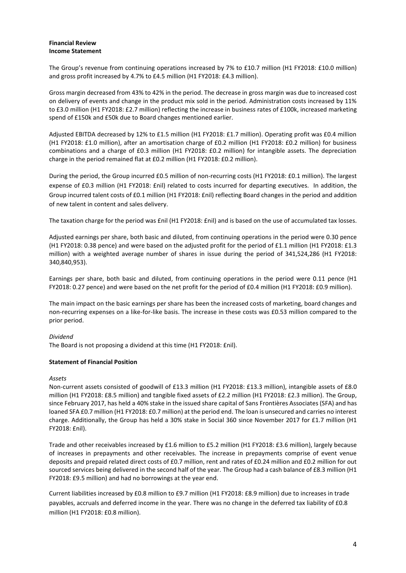## **Financial Review Income Statement**

The Group's revenue from continuing operations increased by 7% to £10.7 million (H1 FY2018: £10.0 million) and gross profit increased by 4.7% to £4.5 million (H1 FY2018: £4.3 million).

Gross margin decreased from 43% to 42% in the period. The decrease in gross margin was due to increased cost on delivery of events and change in the product mix sold in the period. Administration costs increased by 11% to £3.0 million (H1 FY2018: £2.7 million) reflecting the increase in business rates of £100k, increased marketing spend of £150k and £50k due to Board changes mentioned earlier.

Adjusted EBITDA decreased by 12% to £1.5 million (H1 FY2018: £1.7 million). Operating profit was £0.4 million (H1 FY2018: £1.0 million), after an amortisation charge of £0.2 million (H1 FY2018: £0.2 million) for business combinations and a charge of £0.3 million (H1 FY2018: £0.2 million) for intangible assets. The depreciation charge in the period remained flat at £0.2 million (H1 FY2018: £0.2 million).

During the period, the Group incurred £0.5 million of non-recurring costs (H1 FY2018: £0.1 million). The largest expense of £0.3 million (H1 FY2018: £nil) related to costs incurred for departing executives. In addition, the Group incurred talent costs of £0.1 million (H1 FY2018: £nil) reflecting Board changes in the period and addition of new talent in content and sales delivery.

The taxation charge for the period was £nil (H1 FY2018: £nil) and is based on the use of accumulated tax losses.

Adjusted earnings per share, both basic and diluted, from continuing operations in the period were 0.30 pence (H1 FY2018: 0.38 pence) and were based on the adjusted profit for the period of £1.1 million (H1 FY2018: £1.3 million) with a weighted average number of shares in issue during the period of 341,524,286 (H1 FY2018: 340,840,953).

Earnings per share, both basic and diluted, from continuing operations in the period were 0.11 pence (H1 FY2018: 0.27 pence) and were based on the net profit for the period of £0.4 million (H1 FY2018: £0.9 million).

The main impact on the basic earnings per share has been the increased costs of marketing, board changes and non-recurring expenses on a like-for-like basis. The increase in these costs was £0.53 million compared to the prior period.

### *Dividend*

The Board is not proposing a dividend at this time (H1 FY2018: £nil).

### **Statement of Financial Position**

### *Assets*

Non-current assets consisted of goodwill of £13.3 million (H1 FY2018: £13.3 million), intangible assets of £8.0 million (H1 FY2018: £8.5 million) and tangible fixed assets of £2.2 million (H1 FY2018: £2.3 million). The Group, since February 2017, has held a 40% stake in the issued share capital of Sans Frontières Associates (SFA) and has loaned SFA £0.7 million (H1 FY2018: £0.7 million) at the period end. The loan is unsecured and carries no interest charge. Additionally, the Group has held a 30% stake in Social 360 since November 2017 for £1.7 million (H1 FY2018: £nil).

Trade and other receivables increased by £1.6 million to £5.2 million (H1 FY2018: £3.6 million), largely because of increases in prepayments and other receivables. The increase in prepayments comprise of event venue deposits and prepaid related direct costs of £0.7 million, rent and rates of £0.24 million and £0.2 million for out sourced services being delivered in the second half of the year. The Group had a cash balance of £8.3 million (H1 FY2018: £9.5 million) and had no borrowings at the year end.

Current liabilities increased by £0.8 million to £9.7 million (H1 FY2018: £8.9 million) due to increases in trade payables, accruals and deferred income in the year. There was no change in the deferred tax liability of £0.8 million (H1 FY2018: £0.8 million).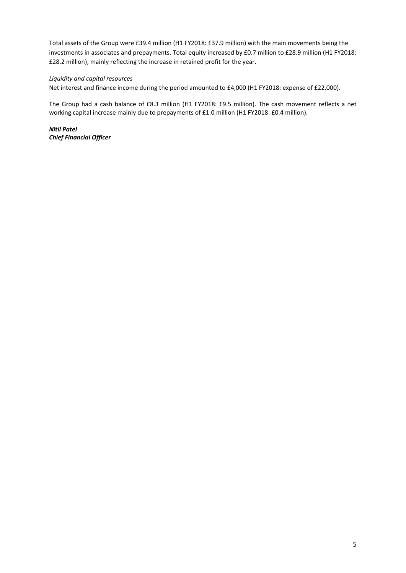Total assets of the Group were £39.4 million (H1 FY2018: £37.9 million) with the main movements being the investments in associates and prepayments. Total equity increased by £0.7 million to £28.9 million (H1 FY2018: £28.2 million), mainly reflecting the increase in retained profit for the year.

### *Liquidity and capital resources*

Net interest and finance income during the period amounted to £4,000 (H1 FY2018: expense of £22,000).

The Group had a cash balance of £8.3 million (H1 FY2018: £9.5 million). The cash movement reflects a net working capital increase mainly due to prepayments of £1.0 million (H1 FY2018: £0.4 million).

*Nitil Patel Chief Financial Officer*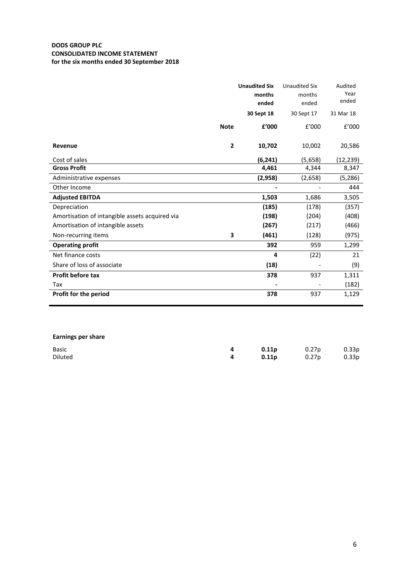# **DODS GROUP PLC CONSOLIDATED INCOME STATEMENT for the six months ended 30 September 2018**

|                                                |                | <b>Unaudited Six</b> | <b>Unaudited Six</b> | Audited   |
|------------------------------------------------|----------------|----------------------|----------------------|-----------|
|                                                |                | months               | months               | Year      |
|                                                |                | ended                | ended                | ended     |
|                                                |                | 30 Sept 18           | 30 Sept 17           | 31 Mar 18 |
|                                                | <b>Note</b>    | f'000                | f'000                | f'000     |
| Revenue                                        | $\overline{2}$ | 10,702               | 10,002               | 20,586    |
| Cost of sales                                  |                | (6, 241)             | (5,658)              | (12,239)  |
| <b>Gross Profit</b>                            |                | 4,461                | 4,344                | 8,347     |
| Administrative expenses                        |                | (2,958)              | (2,658)              | (5, 286)  |
| Other Income                                   |                |                      |                      | 444       |
| <b>Adjusted EBITDA</b>                         |                | 1,503                | 1,686                | 3,505     |
| Depreciation                                   |                | (185)                | (178)                | (357)     |
| Amortisation of intangible assets acquired via |                | (198)                | (204)                | (408)     |
| Amortisation of intangible assets              |                | (267)                | (217)                | (466)     |
| Non-recurring items                            | 3              | (461)                | (128)                | (975)     |
| <b>Operating profit</b>                        |                | 392                  | 959                  | 1,299     |
| Net finance costs                              |                | 4                    | (22)                 | 21        |
| Share of loss of associate                     |                | (18)                 |                      | (9)       |
| <b>Profit before tax</b>                       |                | 378                  | 937                  | 1,311     |
| Tax                                            |                |                      |                      | (182)     |
| Profit for the period                          |                | 378                  | 937                  | 1,129     |
|                                                |                |                      |                      |           |

# **Earnings per share**

| <b>Basic</b> | <b>0.11p</b> 0.27p 0.33p   |  |
|--------------|----------------------------|--|
| Diluted      | <b>4 0.11p</b> 0.27p 0.33p |  |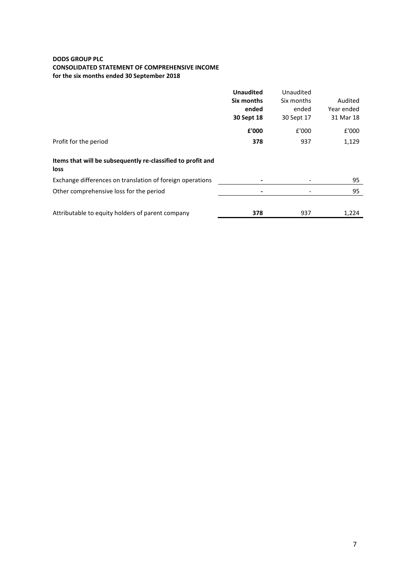## **DODS GROUP PLC CONSOLIDATED STATEMENT OF COMPREHENSIVE INCOME for the six months ended 30 September 2018**

|                                                                     | <b>Unaudited</b><br>Six months<br>ended<br>30 Sept 18 | Unaudited<br>Six months<br>ended<br>30 Sept 17 | Audited<br>Year ended<br>31 Mar 18 |
|---------------------------------------------------------------------|-------------------------------------------------------|------------------------------------------------|------------------------------------|
|                                                                     | £'000                                                 | £'000                                          | £'000                              |
| Profit for the period                                               | 378                                                   | 937                                            | 1,129                              |
| Items that will be subsequently re-classified to profit and<br>loss |                                                       |                                                |                                    |
| Exchange differences on translation of foreign operations           |                                                       |                                                | 95                                 |
| Other comprehensive loss for the period                             |                                                       |                                                | 95                                 |
| Attributable to equity holders of parent company                    | 378                                                   | 937                                            | 1,224                              |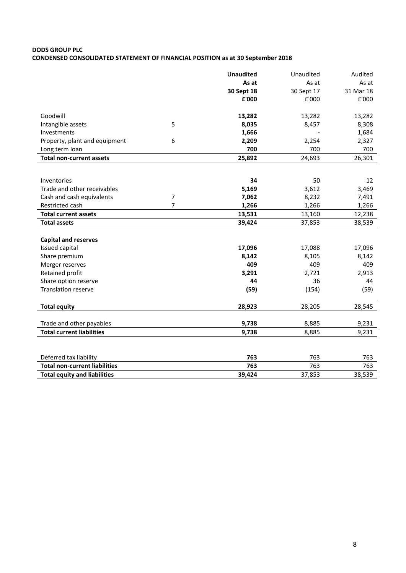# **DODS GROUP PLC CONDENSED CONSOLIDATED STATEMENT OF FINANCIAL POSITION as at 30 September 2018**

|                                                                |                | <b>Unaudited</b> | Unaudited  | Audited    |
|----------------------------------------------------------------|----------------|------------------|------------|------------|
|                                                                |                | As at            | As at      | As at      |
|                                                                |                | 30 Sept 18       | 30 Sept 17 | 31 Mar 18  |
|                                                                |                | £'000            | £'000      | £'000      |
|                                                                |                |                  |            |            |
| Goodwill                                                       |                | 13,282           | 13,282     | 13,282     |
| Intangible assets                                              | 5              | 8,035            | 8,457      | 8,308      |
| Investments                                                    |                | 1,666            |            | 1,684      |
| Property, plant and equipment                                  | 6              | 2,209            | 2,254      | 2,327      |
| Long term loan                                                 |                | 700              | 700        | 700        |
| <b>Total non-current assets</b>                                |                | 25,892           | 24,693     | 26,301     |
|                                                                |                |                  |            |            |
| Inventories                                                    |                | 34               | 50         | 12         |
| Trade and other receivables                                    |                | 5,169            | 3,612      | 3,469      |
| Cash and cash equivalents                                      | $\overline{7}$ | 7,062            | 8,232      | 7,491      |
| Restricted cash                                                | 7              | 1,266            | 1,266      | 1,266      |
| <b>Total current assets</b>                                    |                | 13,531           | 13,160     | 12,238     |
| <b>Total assets</b>                                            |                | 39,424           | 37,853     | 38,539     |
|                                                                |                |                  |            |            |
| <b>Capital and reserves</b>                                    |                |                  |            |            |
| Issued capital                                                 |                | 17,096           | 17,088     | 17,096     |
| Share premium                                                  |                | 8,142            | 8,105      | 8,142      |
| Merger reserves                                                |                | 409              | 409        | 409        |
| Retained profit                                                |                | 3,291            | 2,721      | 2,913      |
| Share option reserve                                           |                | 44               | 36         | 44         |
| <b>Translation reserve</b>                                     |                | (59)             | (154)      | (59)       |
| <b>Total equity</b>                                            |                | 28,923           | 28,205     | 28,545     |
|                                                                |                |                  |            |            |
| Trade and other payables                                       |                | 9,738            | 8,885      | 9,231      |
| <b>Total current liabilities</b>                               |                | 9,738            | 8,885      | 9,231      |
|                                                                |                |                  |            |            |
|                                                                |                | 763              | 763        |            |
| Deferred tax liability<br><b>Total non-current liabilities</b> |                | 763              | 763        | 763<br>763 |
|                                                                |                | 39,424           |            |            |
| <b>Total equity and liabilities</b>                            |                |                  | 37,853     | 38,539     |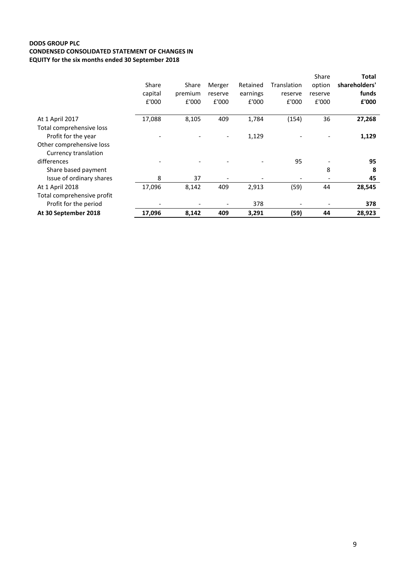# **DODS GROUP PLC CONDENSED CONSOLIDATED STATEMENT OF CHANGES IN EQUITY for the six months ended 30 September 2018**

|                            |         |         |         |          |             | Share   | Total         |
|----------------------------|---------|---------|---------|----------|-------------|---------|---------------|
|                            | Share   | Share   | Merger  | Retained | Translation | option  | shareholders' |
|                            | capital | premium | reserve | earnings | reserve     | reserve | funds         |
|                            | £'000   | £'000   | £'000   | £'000    | £'000       | £'000   | £'000         |
| At 1 April 2017            | 17,088  | 8,105   | 409     | 1,784    | (154)       | 36      | 27,268        |
| Total comprehensive loss   |         |         |         |          |             |         |               |
| Profit for the year        |         |         |         | 1,129    |             |         | 1,129         |
| Other comprehensive loss   |         |         |         |          |             |         |               |
| Currency translation       |         |         |         |          |             |         |               |
| differences                |         |         |         |          | 95          |         | 95            |
| Share based payment        |         |         |         |          |             | 8       | 8             |
| Issue of ordinary shares   | 8       | 37      |         |          |             |         | 45            |
| At 1 April 2018            | 17,096  | 8,142   | 409     | 2,913    | (59)        | 44      | 28,545        |
| Total comprehensive profit |         |         |         |          |             |         |               |
| Profit for the period      |         |         |         | 378      |             |         | 378           |
| At 30 September 2018       | 17,096  | 8,142   | 409     | 3,291    | (59)        | 44      | 28,923        |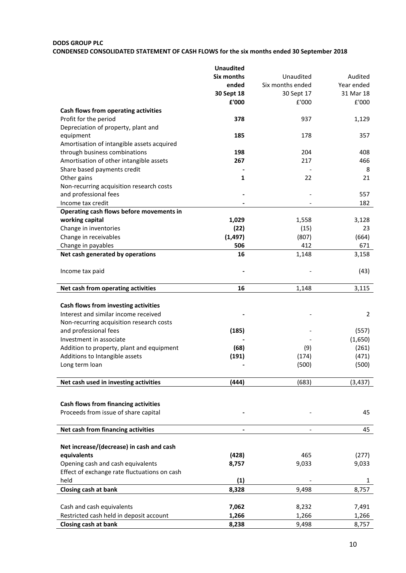### **DODS GROUP PLC**

# **CONDENSED CONSOLIDATED STATEMENT OF CASH FLOWS for the six months ended 30 September 2018**

|                                              | <b>Unaudited</b>  |                          |                |
|----------------------------------------------|-------------------|--------------------------|----------------|
|                                              | <b>Six months</b> | Unaudited                | Audited        |
|                                              | ended             | Six months ended         | Year ended     |
|                                              | 30 Sept 18        | 30 Sept 17               | 31 Mar 18      |
|                                              | £'000             | £'000                    | £'000          |
| Cash flows from operating activities         |                   |                          |                |
| Profit for the period                        | 378               | 937                      | 1,129          |
| Depreciation of property, plant and          |                   |                          |                |
| equipment                                    | 185               | 178                      | 357            |
| Amortisation of intangible assets acquired   |                   |                          |                |
| through business combinations                | 198               | 204                      | 408            |
| Amortisation of other intangible assets      | 267               | 217                      | 466            |
| Share based payments credit                  |                   |                          | 8              |
| Other gains                                  | 1                 | 22                       | 21             |
| Non-recurring acquisition research costs     |                   |                          |                |
| and professional fees                        |                   |                          | 557            |
| Income tax credit                            |                   |                          | 182            |
| Operating cash flows before movements in     |                   |                          |                |
| working capital                              | 1,029             | 1,558                    | 3,128          |
| Change in inventories                        | (22)              | (15)                     | 23             |
| Change in receivables                        | (1, 497)          | (807)                    | (664)          |
| Change in payables                           | 506               | 412                      | 671            |
| Net cash generated by operations             | 16                | 1,148                    | 3,158          |
|                                              |                   |                          |                |
| Income tax paid                              |                   |                          | (43)           |
|                                              |                   |                          |                |
|                                              |                   | 1,148                    | 3,115          |
| Net cash from operating activities           | 16                |                          |                |
|                                              |                   |                          |                |
| Cash flows from investing activities         |                   |                          |                |
| Interest and similar income received         |                   |                          | $\overline{2}$ |
| Non-recurring acquisition research costs     |                   |                          |                |
| and professional fees                        | (185)             |                          | (557)          |
| Investment in associate                      |                   |                          | (1,650)        |
| Addition to property, plant and equipment    | (68)              | (9)                      | (261)          |
| Additions to Intangible assets               | (191)             | (174)                    | (471)          |
| Long term loan                               |                   | (500)                    | (500)          |
|                                              |                   |                          |                |
| Net cash used in investing activities        | (444)             | (683)                    | (3, 437)       |
|                                              |                   |                          |                |
| Cash flows from financing activities         |                   |                          |                |
| Proceeds from issue of share capital         |                   |                          | 45             |
|                                              |                   |                          |                |
|                                              |                   |                          |                |
| Net cash from financing activities           | -                 | $\overline{\phantom{a}}$ | 45             |
|                                              |                   |                          |                |
| Net increase/(decrease) in cash and cash     |                   |                          |                |
| equivalents                                  | (428)             | 465                      | (277)          |
| Opening cash and cash equivalents            | 8,757             | 9,033                    | 9,033          |
| Effect of exchange rate fluctuations on cash |                   |                          |                |
| held                                         | (1)               |                          | 1              |
| <b>Closing cash at bank</b>                  | 8,328             | 9,498                    | 8,757          |
|                                              |                   |                          |                |
| Cash and cash equivalents                    | 7,062             | 8,232                    | 7,491          |
| Restricted cash held in deposit account      | 1,266             | 1,266                    | 1,266          |
| Closing cash at bank                         | 8,238             | 9,498                    | 8,757          |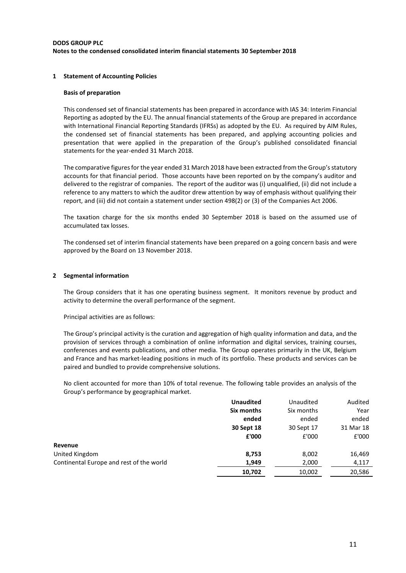### **DODS GROUP PLC Notes to the condensed consolidated interim financial statements 30 September 2018**

### **1 Statement of Accounting Policies**

#### **Basis of preparation**

This condensed set of financial statements has been prepared in accordance with IAS 34: Interim Financial Reporting as adopted by the EU. The annual financial statements of the Group are prepared in accordance with International Financial Reporting Standards (IFRSs) as adopted by the EU. As required by AIM Rules, the condensed set of financial statements has been prepared, and applying accounting policies and presentation that were applied in the preparation of the Group's published consolidated financial statements for the year-ended 31 March 2018.

The comparative figures for the year ended 31 March 2018 have been extracted from the Group's statutory accounts for that financial period. Those accounts have been reported on by the company's auditor and delivered to the registrar of companies. The report of the auditor was (i) unqualified, (ii) did not include a reference to any matters to which the auditor drew attention by way of emphasis without qualifying their report, and (iii) did not contain a statement under section 498(2) or (3) of the Companies Act 2006.

The taxation charge for the six months ended 30 September 2018 is based on the assumed use of accumulated tax losses.

The condensed set of interim financial statements have been prepared on a going concern basis and were approved by the Board on 13 November 2018.

#### **2 Segmental information**

The Group considers that it has one operating business segment. It monitors revenue by product and activity to determine the overall performance of the segment.

Principal activities are as follows:

The Group's principal activity is the curation and aggregation of high quality information and data, and the provision of services through a combination of online information and digital services, training courses, conferences and events publications, and other media. The Group operates primarily in the UK, Belgium and France and has market-leading positions in much of its portfolio. These products and services can be paired and bundled to provide comprehensive solutions.

No client accounted for more than 10% of total revenue. The following table provides an analysis of the Group's performance by geographical market.

|                                          | <b>Unaudited</b> | Unaudited  | Audited   |
|------------------------------------------|------------------|------------|-----------|
|                                          | Six months       | Six months | Year      |
|                                          | ended            | ended      | ended     |
|                                          | 30 Sept 18       | 30 Sept 17 | 31 Mar 18 |
|                                          | £'000            | £'000      | £'000     |
| Revenue                                  |                  |            |           |
| United Kingdom                           | 8,753            | 8,002      | 16,469    |
| Continental Europe and rest of the world | 1,949            | 2,000      | 4,117     |
|                                          | 10,702           | 10,002     | 20,586    |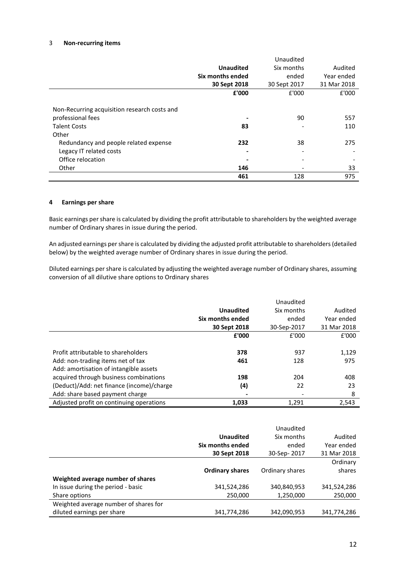## 3 **Non-recurring items**

|                                              |                  | Unaudited    |             |
|----------------------------------------------|------------------|--------------|-------------|
|                                              | <b>Unaudited</b> | Six months   | Audited     |
|                                              | Six months ended | ended        | Year ended  |
|                                              | 30 Sept 2018     | 30 Sept 2017 | 31 Mar 2018 |
|                                              | £'000            | £'000        | £'000       |
|                                              |                  |              |             |
| Non-Recurring acquisition research costs and |                  |              |             |
| professional fees                            |                  | 90           | 557         |
| <b>Talent Costs</b>                          | 83               |              | 110         |
| Other                                        |                  |              |             |
| Redundancy and people related expense        | 232              | 38           | 275         |
| Legacy IT related costs                      |                  |              |             |
| Office relocation                            |                  |              |             |
| Other                                        | 146              |              | 33          |
|                                              | 461              | 128          | 975         |

#### **4 Earnings per share**

Basic earnings per share is calculated by dividing the profit attributable to shareholders by the weighted average number of Ordinary shares in issue during the period.

An adjusted earnings per share is calculated by dividing the adjusted profit attributable to shareholders (detailed below) by the weighted average number of Ordinary shares in issue during the period.

Diluted earnings per share is calculated by adjusting the weighted average number of Ordinary shares, assuming conversion of all dilutive share options to Ordinary shares

|                                           |                  | Unaudited   |             |
|-------------------------------------------|------------------|-------------|-------------|
|                                           | <b>Unaudited</b> | Six months  | Audited     |
|                                           | Six months ended | ended       | Year ended  |
|                                           | 30 Sept 2018     | 30-Sep-2017 | 31 Mar 2018 |
|                                           | £'000            | £'000       | £'000       |
|                                           |                  |             |             |
| Profit attributable to shareholders       | 378              | 937         | 1,129       |
| Add: non-trading items net of tax         | 461              | 128         | 975         |
| Add: amortisation of intangible assets    |                  |             |             |
| acquired through business combinations    | 198              | 204         | 408         |
| (Deduct)/Add: net finance (income)/charge | (4)              | 22          | 23          |
| Add: share based payment charge           |                  |             | 8           |
| Adjusted profit on continuing operations  | 1.033            | 1.291       | 2.543       |

|                                       |                        | Unaudited       |             |
|---------------------------------------|------------------------|-----------------|-------------|
|                                       | <b>Unaudited</b>       | Six months      | Audited     |
|                                       | Six months ended       | ended           | Year ended  |
|                                       | 30 Sept 2018           | 30-Sep-2017     | 31 Mar 2018 |
|                                       |                        |                 | Ordinary    |
|                                       | <b>Ordinary shares</b> | Ordinary shares | shares      |
| Weighted average number of shares     |                        |                 |             |
| In issue during the period - basic    | 341,524,286            | 340,840,953     | 341,524,286 |
| Share options                         | 250,000                | 1,250,000       | 250,000     |
| Weighted average number of shares for |                        |                 |             |
| diluted earnings per share            | 341,774,286            | 342,090,953     | 341,774,286 |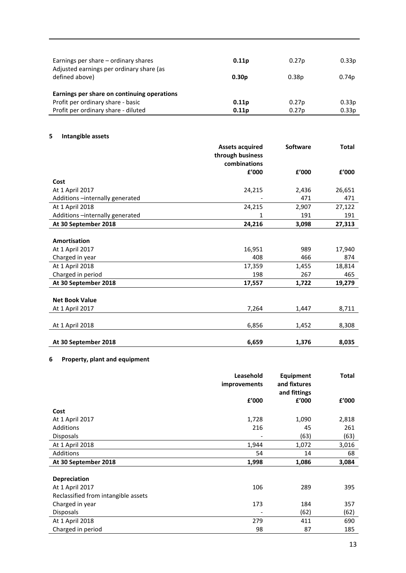| Earnings per share – ordinary shares<br>Adjusted earnings per ordinary share (as<br>defined above)                      | 0.11 <sub>p</sub><br>0.30 <sub>p</sub> | 0.27p<br>0.38 <sub>p</sub> | 0.33p<br>0.74 <sub>p</sub> |
|-------------------------------------------------------------------------------------------------------------------------|----------------------------------------|----------------------------|----------------------------|
| Earnings per share on continuing operations<br>Profit per ordinary share - basic<br>Profit per ordinary share - diluted | 0.11 <sub>p</sub><br>0.11 <sub>p</sub> | 0.27 <sub>p</sub><br>0.27p | 0.33p<br>0.33p             |

# **5 Intangible assets**

|                                 | <b>Assets acquired</b> | <b>Software</b> | <b>Total</b> |
|---------------------------------|------------------------|-----------------|--------------|
|                                 | through business       |                 |              |
|                                 | combinations           |                 |              |
|                                 | £'000                  | £'000           | £'000        |
| Cost                            |                        |                 |              |
| At 1 April 2017                 | 24,215                 | 2,436           | 26,651       |
| Additions -internally generated |                        | 471             | 471          |
| At 1 April 2018                 | 24,215                 | 2,907           | 27,122       |
| Additions -internally generated | 1                      | 191             | 191          |
| At 30 September 2018            | 24,216                 | 3,098           | 27,313       |
|                                 |                        |                 |              |
| <b>Amortisation</b>             |                        |                 |              |
| At 1 April 2017                 | 16,951                 | 989             | 17,940       |
| Charged in year                 | 408                    | 466             | 874          |
| At 1 April 2018                 | 17,359                 | 1,455           | 18,814       |
| Charged in period               | 198                    | 267             | 465          |
| At 30 September 2018            | 17,557                 | 1,722           | 19,279       |
|                                 |                        |                 |              |
| <b>Net Book Value</b>           |                        |                 |              |
| At 1 April 2017                 | 7,264                  | 1,447           | 8,711        |
|                                 |                        |                 |              |
| At 1 April 2018                 | 6,856                  | 1,452           | 8,308        |
|                                 |                        |                 |              |
| At 30 September 2018            | 6,659                  | 1,376           | 8,035        |

# **6 Property, plant and equipment**

|                                     | Leasehold<br>improvements | <b>Equipment</b><br>and fixtures<br>and fittings | Total |
|-------------------------------------|---------------------------|--------------------------------------------------|-------|
|                                     | £'000                     | f'000                                            | £'000 |
| Cost                                |                           |                                                  |       |
| At 1 April 2017                     | 1,728                     | 1,090                                            | 2,818 |
| <b>Additions</b>                    | 216                       | 45                                               | 261   |
| <b>Disposals</b>                    | ٠                         | (63)                                             | (63)  |
| At 1 April 2018                     | 1,944                     | 1,072                                            | 3,016 |
| <b>Additions</b>                    | 54                        | 14                                               | 68    |
| At 30 September 2018                | 1,998                     | 1,086                                            | 3,084 |
| <b>Depreciation</b>                 |                           |                                                  |       |
| At 1 April 2017                     | 106                       | 289                                              | 395   |
| Reclassified from intangible assets |                           |                                                  |       |
| Charged in year                     | 173                       | 184                                              | 357   |
| <b>Disposals</b>                    |                           | (62)                                             | (62)  |
| At 1 April 2018                     | 279                       | 411                                              | 690   |

Charged in period 185